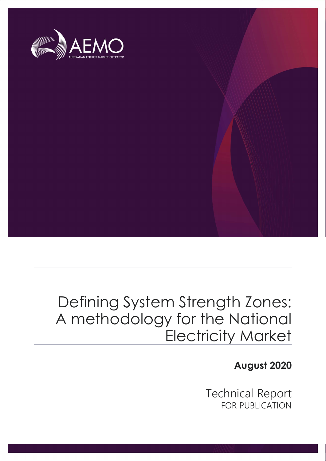

## Defining System Strength Zones: A methodology for the National Electricity Market

August 2020

Technical Report FOR PUBLICATION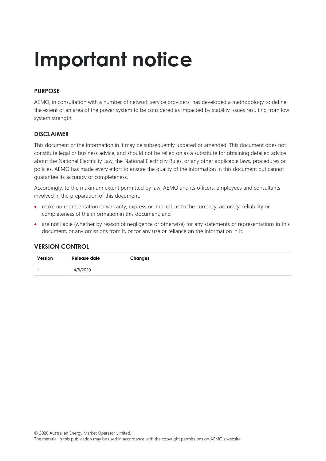# Important notice

#### PURPOSE

AEMO, in consultation with a number of network service providers, has developed a methodology to define the extent of an area of the power system to be considered as impacted by stability issues resulting from low system strength.

#### DISCLAIMER

This document or the information in it may be subsequently updated or amended. This document does not constitute legal or business advice, and should not be relied on as a substitute for obtaining detailed advice about the National Electricity Law, the National Electricity Rules, or any other applicable laws, procedures or policies. AEMO has made every effort to ensure the quality of the information in this document but cannot guarantee its accuracy or completeness.

Accordingly, to the maximum extent permitted by law, AEMO and its officers, employees and consultants involved in the preparation of this document:

- make no representation or warranty, express or implied, as to the currency, accuracy, reliability or completeness of the information in this document; and
- are not liable (whether by reason of negligence or otherwise) for any statements or representations in this document, or any omissions from it, or for any use or reliance on the information in it.

#### VERSION CONTROL

| Version | Release date | Changes |
|---------|--------------|---------|
|         | 14/8/2020    |         |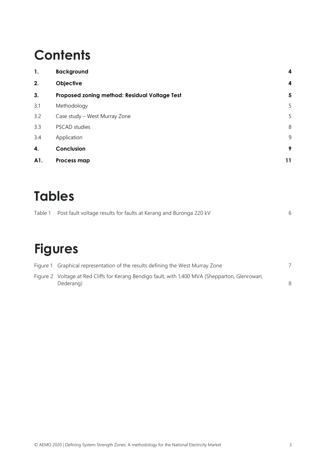## **Contents**

| 1.  | <b>Background</b>                             | 4  |
|-----|-----------------------------------------------|----|
| 2.  | Objective                                     | 4  |
| 3.  | Proposed zoning method: Residual Voltage Test | 5  |
| 3.1 | Methodology                                   | 5  |
| 3.2 | Case study - West Murray Zone                 | 5  |
| 3.3 | PSCAD studies                                 | 8  |
| 3.4 | Application                                   | 9  |
| 4.  | Conclusion                                    | 9  |
| A1. | Process map                                   | 11 |

### Tables

| Table 1 Post fault voltage results for faults at Kerang and Buronga 220 kV |  |
|----------------------------------------------------------------------------|--|
|                                                                            |  |

### Figures

| Figure 1 Graphical representation of the results defining the West Murray Zone                  |  |
|-------------------------------------------------------------------------------------------------|--|
| Figure 2 Voltage at Red Cliffs for Kerang Bendigo fault, with 1,400 MVA (Shepparton, Glenrowan, |  |
| Dederang)                                                                                       |  |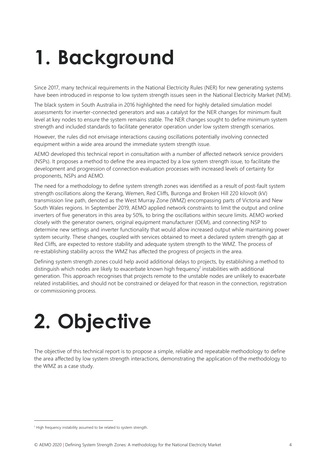# 1. Background

Since 2017, many technical requirements in the National Electricity Rules (NER) for new generating systems have been introduced in response to low system strength issues seen in the National Electricity Market (NEM).

The black system in South Australia in 2016 highlighted the need for highly detailed simulation model assessments for inverter-connected generators and was a catalyst for the NER changes for minimum fault level at key nodes to ensure the system remains stable. The NER changes sought to define minimum system strength and included standards to facilitate generator operation under low system strength scenarios.

However, the rules did not envisage interactions causing oscillations potentially involving connected equipment within a wide area around the immediate system strength issue.

AEMO developed this technical report in consultation with a number of affected network service providers (NSPs). It proposes a method to define the area impacted by a low system strength issue, to facilitate the development and progression of connection evaluation processes with increased levels of certainty for proponents, NSPs and AEMO.

The need for a methodology to define system strength zones was identified as a result of post-fault system strength oscillations along the Kerang, Wemen, Red Cliffs, Buronga and Broken Hill 220 kilovolt (kV) transmission line path, denoted as the West Murray Zone (WMZ) encompassing parts of Victoria and New South Wales regions. In September 2019, AEMO applied network constraints to limit the output and online inverters of five generators in this area by 50%, to bring the oscillations within secure limits. AEMO worked closely with the generator owners, original equipment manufacturer (OEM), and connecting NSP to determine new settings and inverter functionality that would allow increased output while maintaining power system security. These changes, coupled with services obtained to meet a declared system strength gap at Red Cliffs, are expected to restore stability and adequate system strength to the WMZ. The process of re-establishing stability across the WMZ has affected the progress of projects in the area.

Defining system strength zones could help avoid additional delays to projects, by establishing a method to distinguish which nodes are likely to exacerbate known high frequency<sup>1</sup> instabilities with additional generation. This approach recognises that projects remote to the unstable nodes are unlikely to exacerbate related instabilities, and should not be constrained or delayed for that reason in the connection, registration or commissioning process.

# 2. Objective

The objective of this technical report is to propose a simple, reliable and repeatable methodology to define the area affected by low system strength interactions, demonstrating the application of the methodology to the WMZ as a case study.

<sup>&</sup>lt;sup>1</sup> High frequency instability assumed to be related to system strength.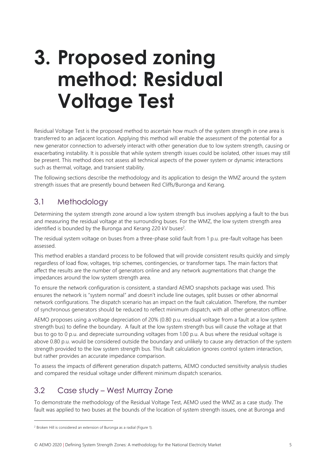## 3. Proposed zoning method: Residual Voltage Test

Residual Voltage Test is the proposed method to ascertain how much of the system strength in one area is transferred to an adjacent location. Applying this method will enable the assessment of the potential for a new generator connection to adversely interact with other generation due to low system strength, causing or exacerbating instability. It is possible that while system strength issues could be isolated, other issues may still be present. This method does not assess all technical aspects of the power system or dynamic interactions such as thermal, voltage, and transient stability.

The following sections describe the methodology and its application to design the WMZ around the system strength issues that are presently bound between Red Cliffs/Buronga and Kerang.

#### 3.1 Methodology

Determining the system strength zone around a low system strength bus involves applying a fault to the bus and measuring the residual voltage at the surrounding buses. For the WMZ, the low system strength area identified is bounded by the Buronga and Kerang 220 kV buses<sup>2</sup>.

The residual system voltage on buses from a three-phase solid fault from 1 p.u. pre-fault voltage has been assessed.

This method enables a standard process to be followed that will provide consistent results quickly and simply regardless of load flow, voltages, trip schemes, contingencies, or transformer taps. The main factors that affect the results are the number of generators online and any network augmentations that change the impedances around the low system strength area.

To ensure the network configuration is consistent, a standard AEMO snapshots package was used. This ensures the network is "system normal" and doesn't include line outages, split busses or other abnormal network configurations. The dispatch scenario has an impact on the fault calculation. Therefore, the number of synchronous generators should be reduced to reflect minimum dispatch, with all other generators offline.

AEMO proposes using a voltage depreciation of 20% (0.80 p.u. residual voltage from a fault at a low system strength bus) to define the boundary. A fault at the low system strength bus will cause the voltage at that bus to go to 0 p.u. and depreciate surrounding voltages from 1.00 p.u. A bus where the residual voltage is above 0.80 p.u. would be considered outside the boundary and unlikely to cause any detraction of the system strength provided to the low system strength bus. This fault calculation ignores control system interaction, but rather provides an accurate impedance comparison.

To assess the impacts of different generation dispatch patterns, AEMO conducted sensitivity analysis studies and compared the residual voltage under different minimum dispatch scenarios.

#### 3.2 Case study – West Murray Zone

To demonstrate the methodology of the Residual Voltage Test, AEMO used the WMZ as a case study. The fault was applied to two buses at the bounds of the location of system strength issues, one at Buronga and

<sup>&</sup>lt;sup>2</sup> Broken Hill is considered an extension of Buronga as a radial (Figure 1).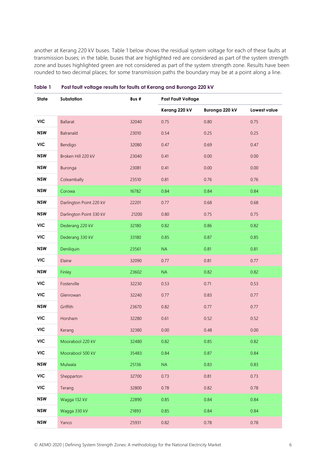another at Kerang 220 kV buses. Table 1 below shows the residual system voltage for each of these faults at transmission buses; in the table, buses that are highlighted red are considered as part of the system strength zone and buses highlighted green are not considered as part of the system strength zone. Results have been rounded to two decimal places; for some transmission paths the boundary may be at a point along a line.

| State      | Substation              | Bus # | <b>Post Fault Voltage</b> |                |              |
|------------|-------------------------|-------|---------------------------|----------------|--------------|
|            |                         |       | Kerang 220 kV             | Buronga 220 kV | Lowest value |
| <b>VIC</b> | <b>Ballarat</b>         | 32040 | 0.75                      | 0.80           | 0.75         |
| <b>NSW</b> | Balranald               | 23010 | 0.54                      | 0.25           | 0.25         |
| VIC        | Bendigo                 | 32080 | 0.47                      | 0.69           | 0.47         |
| <b>NSW</b> | Broken Hill 220 kV      | 23040 | 0.41                      | 0.00           | 0.00         |
| <b>NSW</b> | Buronga                 | 23081 | 0.41                      | 0.00           | 0.00         |
| <b>NSW</b> | Coleambally             | 23510 | 0.81                      | 0.76           | 0.76         |
| <b>NSW</b> | Corowa                  | 16782 | 0.84                      | 0.84           | 0.84         |
| <b>NSW</b> | Darlington Point 220 kV | 22201 | 0.77                      | 0.68           | 0.68         |
| <b>NSW</b> | Darlington Point 330 kV | 21200 | 0.80                      | 0.75           | 0.75         |
| <b>VIC</b> | Dederang 220 kV         | 32180 | 0.82                      | 0.86           | 0.82         |
| <b>VIC</b> | Dederang 330 kV         | 33180 | 0.85                      | 0.87           | 0.85         |
| <b>NSW</b> | Deniliquin              | 23561 | NA                        | 0.81           | 0.81         |
| <b>VIC</b> | Elaine                  | 32090 | 0.77                      | 0.81           | 0.77         |
| <b>NSW</b> | Finley                  | 23602 | NA                        | 0.82           | 0.82         |
| <b>VIC</b> | Fosterville             | 32230 | 0.53                      | 0.71           | 0.53         |
| <b>VIC</b> | Glenrowan               | 32240 | 0.77                      | 0.83           | 0.77         |
| <b>NSW</b> | Griffith                | 23670 | 0.82                      | 0.77           | 0.77         |
| <b>VIC</b> | Horsham                 | 32280 | 0.61                      | 0.52           | 0.52         |
| <b>VIC</b> | Kerang                  | 32380 | 0.00                      | 0.48           | 0.00         |
| VIC.       | Moorabool 220 kV        | 32480 | 0.82                      | 0.85           | 0.82         |
| <b>VIC</b> | Moorabool 500 kV        | 35483 | 0.84                      | 0.87           | 0.84         |
| <b>NSW</b> | Mulwala                 | 25136 | NA                        | 0.83           | 0.83         |
| <b>VIC</b> | Shepparton              | 32700 | 0.73                      | 0.81           | 0.73         |
| <b>VIC</b> | Terang                  | 32800 | 0.78                      | 0.82           | 0.78         |
| <b>NSW</b> | Wagga 132 kV            | 22890 | 0.85                      | 0.84           | 0.84         |
| <b>NSW</b> | Wagga 330 kV            | 21893 | 0.85                      | 0.84           | 0.84         |
| <b>NSW</b> | Yanco                   | 25931 | 0.82                      | 0.78           | 0.78         |

Table 1 Post fault voltage results for faults at Kerang and Buronga 220 kV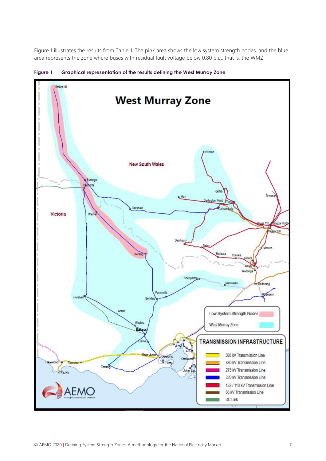Figure 1 illustrates the results from Table 1. The pink area shows the low system strength nodes, and the blue area represents the zone where buses with residual fault voltage below 0.80 p.u., that is, the WMZ.



Figure 1 Graphical representation of the results defining the West Murray Zone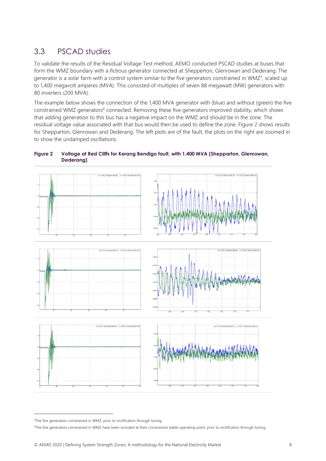### 3.3 PSCAD studies

To validate the results of the Residual Voltage Test method, AEMO conducted PSCAD studies at buses that form the WMZ boundary with a fictious generator connected at Shepperton, Glenrowan and Dederang. The generator is a solar farm with a control system similar to the five generators constrained in WMZ<sup>3</sup>, scaled up to 1,400 megavolt amperes (MVA). This consisted of multiples of seven 88 megawatt (MW) generators with 80 inverters (200 MVA).

The example below shows the connection of the 1,400 MVA generator with (blue) and without (green) the five constrained WMZ generators<sup>4</sup> connected. Removing these five generators improved stability, which shows that adding generation to this bus has a negative impact on the WMZ and should be in the zone. The residual voltage value associated with that bus would then be used to define the zone. Figure 2 shows results for Shepparton, Glenrowan and Dederang. The left plots are of the fault, the plots on the right are zoomed in to show the undamped oscillations.

#### Figure 2 Voltage at Red Cliffs for Kerang Bendigo fault, with 1,400 MVA (Shepparton, Glenrowan, Dederang)



<sup>&</sup>lt;sup>3</sup>The five generators constrained in WMZ, prior to rectification through tuning.

4The five generators constrained in WMZ have been included at their constrained stable operating point, prior to rectification through tuning.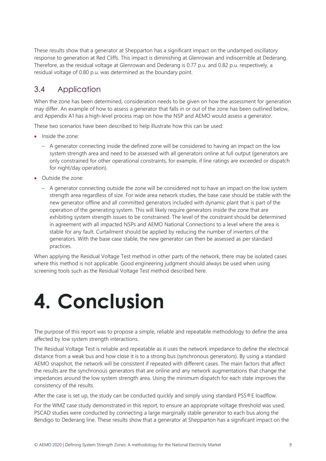These results show that a generator at Shepparton has a significant impact on the undamped oscillatory response to generation at Red Cliffs. This impact is diminishing at Glenrowan and indiscernible at Dederang. Therefore, as the residual voltage at Glenrowan and Dederang is 0.77 p.u. and 0.82 p.u. respectively, a residual voltage of 0.80 p.u. was determined as the boundary point.

### 3.4 Application

When the zone has been determined, consideration needs to be given on how the assessment for generation may differ. An example of how to assess a generator that falls in or out of the zone has been outlined below, and Appendix A1 has a high-level process map on how the NSP and AEMO would assess a generator.

These two scenarios have been described to help illustrate how this can be used:

- **Inside the zone:** 
	- A generator connecting inside the defined zone will be considered to having an impact on the low system strength area and need to be assessed with all generators online at full output (generators are only constrained for other operational constraints, for example, if line ratings are exceeded or dispatch for night/day operation).
- Outside the zone:
	- A generator connecting outside the zone will be considered not to have an impact on the low system strength area regardless of size. For wide area network studies, the base case should be stable with the new generator offline and all committed generators included with dynamic plant that is part of the operation of the generating system. This will likely require generators inside the zone that are exhibiting system strength issues to be constrained. The level of the constraint should be determined in agreement with all impacted NSPs and AEMO National Connections to a level where the area is stable for any fault. Curtailment should be applied by reducing the number of inverters of the generators. With the base case stable, the new generator can then be assessed as per standard practices.

When applying the Residual Voltage Test method in other parts of the network, there may be isolated cases where this method is not applicable. Good engineering judgment should always be used when using screening tools such as the Residual Voltage Test method described here.

## 4. Conclusion

The purpose of this report was to propose a simple, reliable and repeatable methodology to define the area affected by low system strength interactions.

The Residual Voltage Test is reliable and repeatable as it uses the network impedance to define the electrical distance from a weak bus and how close it is to a strong bus (synchronous generators). By using a standard AEMO snapshot, the network will be consistent if repeated with different cases. The main factors that affect the results are the synchronous generators that are online and any network augmentations that change the impedances around the low system strength area. Using the minimum dispatch for each state improves the consistency of the results.

After the case is set up, the study can be conducted quickly and simply using standard PSS®E loadflow.

For the WMZ case study demonstrated in this report, to ensure an appropriate voltage threshold was used, PSCAD studies were conducted by connecting a large marginally stable generator to each bus along the Bendigo to Dederang line. These results show that a generator at Shepparton has a significant impact on the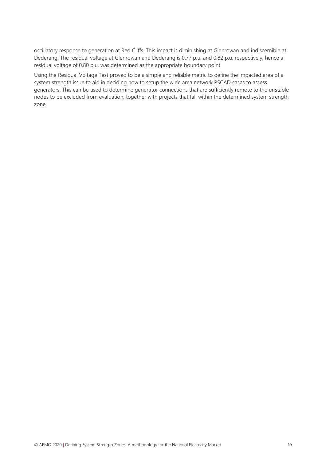oscillatory response to generation at Red Cliffs. This impact is diminishing at Glenrowan and indiscernible at Dederang. The residual voltage at Glenrowan and Dederang is 0.77 p.u. and 0.82 p.u. respectively, hence a residual voltage of 0.80 p.u. was determined as the appropriate boundary point.

Using the Residual Voltage Test proved to be a simple and reliable metric to define the impacted area of a system strength issue to aid in deciding how to setup the wide area network PSCAD cases to assess generators. This can be used to determine generator connections that are sufficiently remote to the unstable nodes to be excluded from evaluation, together with projects that fall within the determined system strength zone.